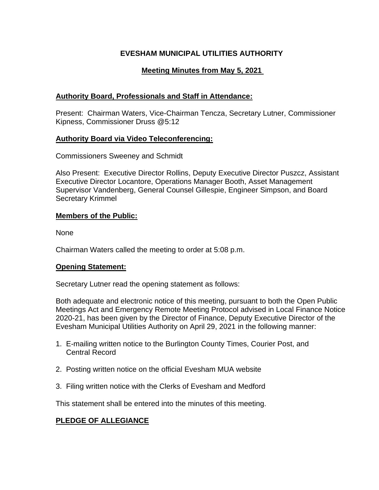# **EVESHAM MUNICIPAL UTILITIES AUTHORITY**

# **Meeting Minutes from May 5, 2021**

# **Authority Board, Professionals and Staff in Attendance:**

Present: Chairman Waters, Vice-Chairman Tencza, Secretary Lutner, Commissioner Kipness, Commissioner Druss @5:12

# **Authority Board via Video Teleconferencing:**

Commissioners Sweeney and Schmidt

Also Present: Executive Director Rollins, Deputy Executive Director Puszcz, Assistant Executive Director Locantore, Operations Manager Booth, Asset Management Supervisor Vandenberg, General Counsel Gillespie, Engineer Simpson, and Board Secretary Krimmel

# **Members of the Public:**

None

Chairman Waters called the meeting to order at 5:08 p.m.

## **Opening Statement:**

Secretary Lutner read the opening statement as follows:

Both adequate and electronic notice of this meeting, pursuant to both the Open Public Meetings Act and Emergency Remote Meeting Protocol advised in Local Finance Notice 2020-21, has been given by the Director of Finance, Deputy Executive Director of the Evesham Municipal Utilities Authority on April 29, 2021 in the following manner:

- 1. E-mailing written notice to the Burlington County Times, Courier Post, and Central Record
- 2. Posting written notice on the official Evesham MUA website
- 3. Filing written notice with the Clerks of Evesham and Medford

This statement shall be entered into the minutes of this meeting.

# **PLEDGE OF ALLEGIANCE**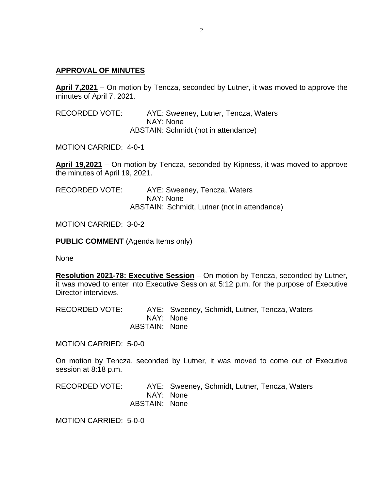#### **APPROVAL OF MINUTES**

**April 7,2021** – On motion by Tencza, seconded by Lutner, it was moved to approve the minutes of April 7, 2021.

RECORDED VOTE: AYE: Sweeney, Lutner, Tencza, Waters NAY: None ABSTAIN: Schmidt (not in attendance)

MOTION CARRIED: 4-0-1

**April 19,2021** – On motion by Tencza, seconded by Kipness, it was moved to approve the minutes of April 19, 2021.

RECORDED VOTE: AYE: Sweeney, Tencza, Waters NAY: None ABSTAIN: Schmidt, Lutner (not in attendance)

MOTION CARRIED: 3-0-2

**PUBLIC COMMENT** (Agenda Items only)

None

**Resolution 2021-78: Executive Session** – On motion by Tencza, seconded by Lutner, it was moved to enter into Executive Session at 5:12 p.m. for the purpose of Executive Director interviews.

RECORDED VOTE: AYE: Sweeney, Schmidt, Lutner, Tencza, Waters NAY: None ABSTAIN: None

MOTION CARRIED: 5-0-0

On motion by Tencza, seconded by Lutner, it was moved to come out of Executive session at 8:18 p.m.

RECORDED VOTE: AYE: Sweeney, Schmidt, Lutner, Tencza, Waters NAY: None ABSTAIN: None

MOTION CARRIED: 5-0-0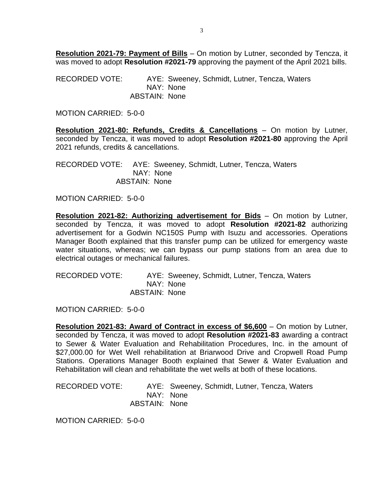**Resolution 2021-79: Payment of Bills** – On motion by Lutner, seconded by Tencza, it was moved to adopt **Resolution #2021-79** approving the payment of the April 2021 bills.

RECORDED VOTE: AYE: Sweeney, Schmidt, Lutner, Tencza, Waters NAY: None ABSTAIN: None

MOTION CARRIED: 5-0-0

**Resolution 2021-80: Refunds, Credits & Cancellations** – On motion by Lutner, seconded by Tencza, it was moved to adopt **Resolution #2021-80** approving the April 2021 refunds, credits & cancellations.

RECORDED VOTE: AYE: Sweeney, Schmidt, Lutner, Tencza, Waters NAY: None ABSTAIN: None

MOTION CARRIED: 5-0-0

**Resolution 2021-82: Authorizing advertisement for Bids** – On motion by Lutner, seconded by Tencza, it was moved to adopt **Resolution #2021-82** authorizing advertisement for a Godwin NC150S Pump with Isuzu and accessories. Operations Manager Booth explained that this transfer pump can be utilized for emergency waste water situations, whereas; we can bypass our pump stations from an area due to electrical outages or mechanical failures.

RECORDED VOTE: AYE: Sweeney, Schmidt, Lutner, Tencza, Waters NAY: None ABSTAIN: None

MOTION CARRIED: 5-0-0

**Resolution 2021-83: Award of Contract in excess of \$6,600** – On motion by Lutner, seconded by Tencza, it was moved to adopt **Resolution #2021-83** awarding a contract to Sewer & Water Evaluation and Rehabilitation Procedures, Inc. in the amount of \$27,000.00 for Wet Well rehabilitation at Briarwood Drive and Cropwell Road Pump Stations. Operations Manager Booth explained that Sewer & Water Evaluation and Rehabilitation will clean and rehabilitate the wet wells at both of these locations.

RECORDED VOTE: AYE: Sweeney, Schmidt, Lutner, Tencza, Waters NAY: None ABSTAIN: None

MOTION CARRIED: 5-0-0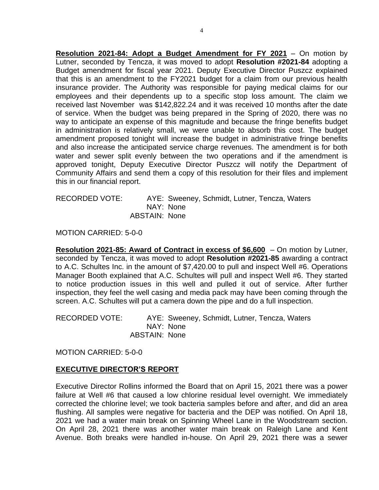**Resolution 2021-84: Adopt a Budget Amendment for FY 2021** – On motion by Lutner, seconded by Tencza, it was moved to adopt **Resolution #2021-84** adopting a Budget amendment for fiscal year 2021. Deputy Executive Director Puszcz explained that this is an amendment to the FY2021 budget for a claim from our previous health insurance provider. The Authority was responsible for paying medical claims for our employees and their dependents up to a specific stop loss amount. The claim we received last November was \$142,822.24 and it was received 10 months after the date of service. When the budget was being prepared in the Spring of 2020, there was no way to anticipate an expense of this magnitude and because the fringe benefits budget in administration is relatively small, we were unable to absorb this cost. The budget amendment proposed tonight will increase the budget in administrative fringe benefits and also increase the anticipated service charge revenues. The amendment is for both water and sewer split evenly between the two operations and if the amendment is approved tonight, Deputy Executive Director Puszcz will notify the Department of Community Affairs and send them a copy of this resolution for their files and implement this in our financial report.

RECORDED VOTE: AYE: Sweeney, Schmidt, Lutner, Tencza, Waters NAY: None ABSTAIN: None

MOTION CARRIED: 5-0-0

**Resolution 2021-85: Award of Contract in excess of \$6,600** – On motion by Lutner, seconded by Tencza, it was moved to adopt **Resolution #2021-85** awarding a contract to A.C. Schultes Inc. in the amount of \$7,420.00 to pull and inspect Well #6. Operations Manager Booth explained that A.C. Schultes will pull and inspect Well #6. They started to notice production issues in this well and pulled it out of service. After further inspection, they feel the well casing and media pack may have been coming through the screen. A.C. Schultes will put a camera down the pipe and do a full inspection.

RECORDED VOTE: AYE: Sweeney, Schmidt, Lutner, Tencza, Waters NAY: None ABSTAIN: None

MOTION CARRIED: 5-0-0

#### **EXECUTIVE DIRECTOR'S REPORT**

Executive Director Rollins informed the Board that on April 15, 2021 there was a power failure at Well #6 that caused a low chlorine residual level overnight. We immediately corrected the chlorine level; we took bacteria samples before and after, and did an area flushing. All samples were negative for bacteria and the DEP was notified. On April 18, 2021 we had a water main break on Spinning Wheel Lane in the Woodstream section. On April 28, 2021 there was another water main break on Raleigh Lane and Kent Avenue. Both breaks were handled in-house. On April 29, 2021 there was a sewer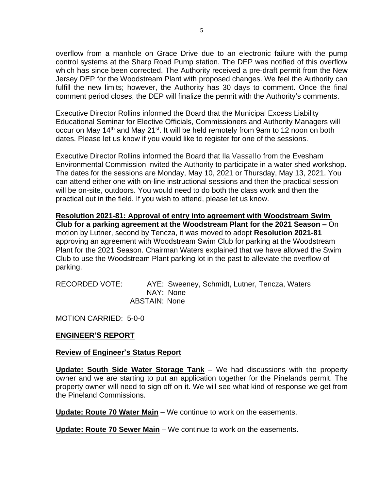overflow from a manhole on Grace Drive due to an electronic failure with the pump control systems at the Sharp Road Pump station. The DEP was notified of this overflow which has since been corrected. The Authority received a pre-draft permit from the New Jersey DEP for the Woodstream Plant with proposed changes. We feel the Authority can fulfill the new limits; however, the Authority has 30 days to comment. Once the final comment period closes, the DEP will finalize the permit with the Authority's comments.

Executive Director Rollins informed the Board that the Municipal Excess Liability Educational Seminar for Elective Officials, Commissioners and Authority Managers will occur on May 14<sup>th</sup> and May 21<sup>st</sup>. It will be held remotely from 9am to 12 noon on both dates. Please let us know if you would like to register for one of the sessions.

Executive Director Rollins informed the Board that Ila Vassallo from the Evesham Environmental Commission invited the Authority to participate in a water shed workshop. The dates for the sessions are Monday, May 10, 2021 or Thursday, May 13, 2021. You can attend either one with on-line instructional sessions and then the practical session will be on-site, outdoors. You would need to do both the class work and then the practical out in the field. If you wish to attend, please let us know.

**Resolution 2021-81: Approval of entry into agreement with Woodstream Swim Club for a parking agreement at the Woodstream Plant for the 2021 Season –** On motion by Lutner, second by Tencza, it was moved to adopt **Resolution 2021-81** approving an agreement with Woodstream Swim Club for parking at the Woodstream Plant for the 2021 Season. Chairman Waters explained that we have allowed the Swim Club to use the Woodstream Plant parking lot in the past to alleviate the overflow of parking.

RECORDED VOTE: AYE: Sweeney, Schmidt, Lutner, Tencza, Waters NAY: None ABSTAIN: None

MOTION CARRIED: 5-0-0

## **ENGINEER'S REPORT**

## **Review of Engineer's Status Report**

**Update: South Side Water Storage Tank** – We had discussions with the property owner and we are starting to put an application together for the Pinelands permit. The property owner will need to sign off on it. We will see what kind of response we get from the Pineland Commissions.

**Update: Route 70 Water Main** – We continue to work on the easements.

**Update: Route 70 Sewer Main** – We continue to work on the easements.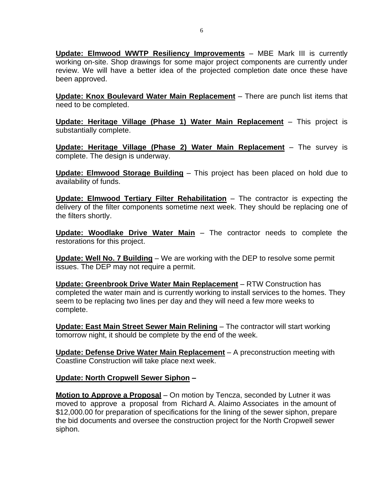**Update: Elmwood WWTP Resiliency Improvements** – MBE Mark III is currently working on-site. Shop drawings for some major project components are currently under review. We will have a better idea of the projected completion date once these have been approved.

**Update: Knox Boulevard Water Main Replacement** – There are punch list items that need to be completed.

**Update: Heritage Village (Phase 1) Water Main Replacement** – This project is substantially complete.

**Update: Heritage Village (Phase 2) Water Main Replacement** – The survey is complete. The design is underway.

**Update: Elmwood Storage Building** – This project has been placed on hold due to availability of funds.

**Update: Elmwood Tertiary Filter Rehabilitation** – The contractor is expecting the delivery of the filter components sometime next week. They should be replacing one of the filters shortly.

**Update: Woodlake Drive Water Main** – The contractor needs to complete the restorations for this project.

**Update: Well No. 7 Building** – We are working with the DEP to resolve some permit issues. The DEP may not require a permit.

**Update: Greenbrook Drive Water Main Replacement** – RTW Construction has completed the water main and is currently working to install services to the homes. They seem to be replacing two lines per day and they will need a few more weeks to complete.

**Update: East Main Street Sewer Main Relining** – The contractor will start working tomorrow night, it should be complete by the end of the week.

**Update: Defense Drive Water Main Replacement** – A preconstruction meeting with Coastline Construction will take place next week.

## **Update: North Cropwell Sewer Siphon –**

**Motion to Approve a Proposal** – On motion by Tencza, seconded by Lutner it was moved to approve a proposal from Richard A. Alaimo Associates in the amount of \$12,000.00 for preparation of specifications for the lining of the sewer siphon, prepare the bid documents and oversee the construction project for the North Cropwell sewer siphon.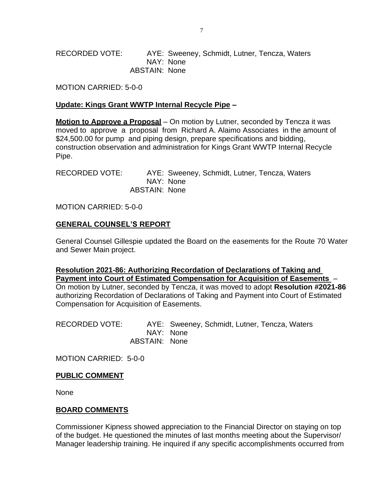RECORDED VOTE: AYE: Sweeney, Schmidt, Lutner, Tencza, Waters NAY: None ABSTAIN: None

MOTION CARRIED: 5-0-0

# **Update: Kings Grant WWTP Internal Recycle Pipe –**

**Motion to Approve a Proposal** – On motion by Lutner, seconded by Tencza it was moved to approve a proposal from Richard A. Alaimo Associates in the amount of \$24,500.00 for pump and piping design, prepare specifications and bidding, construction observation and administration for Kings Grant WWTP Internal Recycle Pipe.

RECORDED VOTE: AYE: Sweeney, Schmidt, Lutner, Tencza, Waters NAY: None ABSTAIN: None

MOTION CARRIED: 5-0-0

# **GENERAL COUNSEL'S REPORT**

General Counsel Gillespie updated the Board on the easements for the Route 70 Water and Sewer Main project.

**Resolution 2021-86: Authorizing Recordation of Declarations of Taking and Payment into Court of Estimated Compensation for Acquisition of Easements** – On motion by Lutner, seconded by Tencza, it was moved to adopt **Resolution #2021-86** authorizing Recordation of Declarations of Taking and Payment into Court of Estimated Compensation for Acquisition of Easements.

RECORDED VOTE: AYE: Sweeney, Schmidt, Lutner, Tencza, Waters NAY: None ABSTAIN: None

MOTION CARRIED: 5-0-0

#### **PUBLIC COMMENT**

None

## **BOARD COMMENTS**

Commissioner Kipness showed appreciation to the Financial Director on staying on top of the budget. He questioned the minutes of last months meeting about the Supervisor/ Manager leadership training. He inquired if any specific accomplishments occurred from